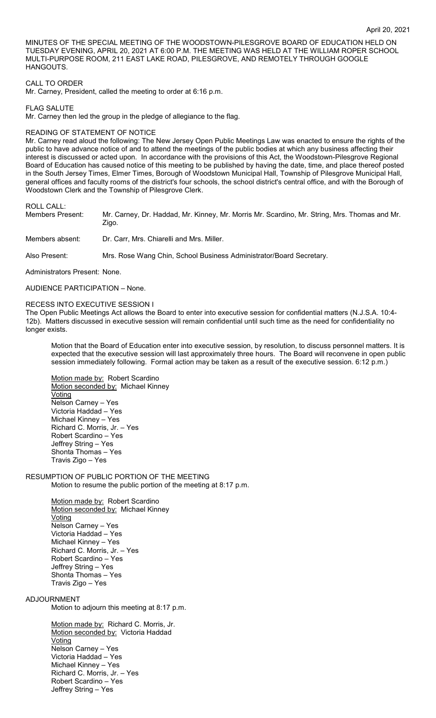MINUTES OF THE SPECIAL MEETING OF THE WOODSTOWN-PILESGROVE BOARD OF EDUCATION HELD ON TUESDAY EVENING, APRIL 20, 2021 AT 6:00 P.M. THE MEETING WAS HELD AT THE WILLIAM ROPER SCHOOL MULTI-PURPOSE ROOM, 211 EAST LAKE ROAD, PILESGROVE, AND REMOTELY THROUGH GOOGLE HANGOUTS.

CALL TO ORDER

Mr. Carney, President, called the meeting to order at 6:16 p.m.

FLAG SALUTE

Mr. Carney then led the group in the pledge of allegiance to the flag.

## READING OF STATEMENT OF NOTICE

Mr. Carney read aloud the following: The New Jersey Open Public Meetings Law was enacted to ensure the rights of the public to have advance notice of and to attend the meetings of the public bodies at which any business affecting their interest is discussed or acted upon. In accordance with the provisions of this Act, the Woodstown-Pilesgrove Regional Board of Education has caused notice of this meeting to be published by having the date, time, and place thereof posted in the South Jersey Times, Elmer Times, Borough of Woodstown Municipal Hall, Township of Pilesgrove Municipal Hall, general offices and faculty rooms of the district's four schools, the school district's central office, and with the Borough of Woodstown Clerk and the Township of Pilesgrove Clerk.

ROLL CALL:

Members Present: Mr. Carney, Dr. Haddad, Mr. Kinney, Mr. Morris Mr. Scardino, Mr. String, Mrs. Thomas and Mr. Zigo.

Members absent: Dr. Carr, Mrs. Chiarelli and Mrs. Miller.

Also Present: Mrs. Rose Wang Chin, School Business Administrator/Board Secretary.

Administrators Present: None.

AUDIENCE PARTICIPATION – None.

## RECESS INTO EXECUTIVE SESSION I

The Open Public Meetings Act allows the Board to enter into executive session for confidential matters (N.J.S.A. 10:4- 12b). Matters discussed in executive session will remain confidential until such time as the need for confidentiality no longer exists.

Motion that the Board of Education enter into executive session, by resolution, to discuss personnel matters. It is expected that the executive session will last approximately three hours. The Board will reconvene in open public session immediately following. Formal action may be taken as a result of the executive session. 6:12 p.m.)

Motion made by: Robert Scardino Motion seconded by: Michael Kinney Voting Nelson Carney – Yes Victoria Haddad – Yes Michael Kinney – Yes Richard C. Morris, Jr. – Yes Robert Scardino – Yes Jeffrey String – Yes Shonta Thomas – Yes Travis Zigo – Yes

RESUMPTION OF PUBLIC PORTION OF THE MEETING Motion to resume the public portion of the meeting at 8:17 p.m.

> Motion made by: Robert Scardino Motion seconded by: Michael Kinney Voting Nelson Carney – Yes Victoria Haddad – Yes Michael Kinney – Yes Richard C. Morris, Jr. – Yes Robert Scardino – Yes Jeffrey String – Yes Shonta Thomas – Yes Travis Zigo – Yes

## ADJOURNMENT

Motion to adjourn this meeting at 8:17 p.m.

Motion made by: Richard C. Morris, Jr. Motion seconded by: Victoria Haddad <u>Voting</u> Nelson Carney – Yes Victoria Haddad – Yes Michael Kinney – Yes Richard C. Morris, Jr. – Yes Robert Scardino – Yes Jeffrey String – Yes